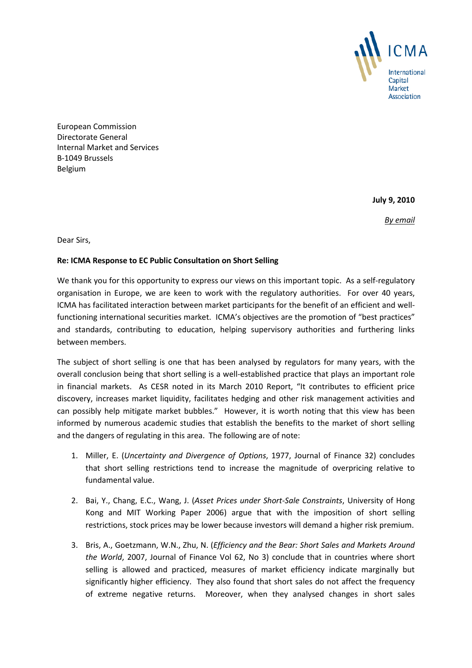

European Commission Directorate General Internal Market and Services B-1049 Brussels Belgium

**July 9, 2010**

*By email*

Dear Sirs,

# **Re: ICMA Response to EC Public Consultation on Short Selling**

We thank you for this opportunity to express our views on this important topic. As a self-regulatory organisation in Europe, we are keen to work with the regulatory authorities. For over 40 years, ICMA has facilitated interaction between market participants for the benefit of an efficient and wellfunctioning international securities market. ICMA's objectives are the promotion of "best practices" and standards, contributing to education, helping supervisory authorities and furthering links between members.

The subject of short selling is one that has been analysed by regulators for many years, with the overall conclusion being that short selling is a well-established practice that plays an important role in financial markets. As CESR noted in its March 2010 Report, "It contributes to efficient price discovery, increases market liquidity, facilitates hedging and other risk management activities and can possibly help mitigate market bubbles." However, it is worth noting that this view has been informed by numerous academic studies that establish the benefits to the market of short selling and the dangers of regulating in this area. The following are of note:

- 1. Miller, E. (*Uncertainty and Divergence of Options*, 1977, Journal of Finance 32) concludes that short selling restrictions tend to increase the magnitude of overpricing relative to fundamental value.
- 2. Bai, Y., Chang, E.C., Wang, J. (*Asset Prices under Short-Sale Constraints*, University of Hong Kong and MIT Working Paper 2006) argue that with the imposition of short selling restrictions, stock prices may be lower because investors will demand a higher risk premium.
- 3. Bris, A., Goetzmann, W.N., Zhu, N. (*Efficiency and the Bear: Short Sales and Markets Around the World*, 2007, Journal of Finance Vol 62, No 3) conclude that in countries where short selling is allowed and practiced, measures of market efficiency indicate marginally but significantly higher efficiency. They also found that short sales do not affect the frequency of extreme negative returns. Moreover, when they analysed changes in short sales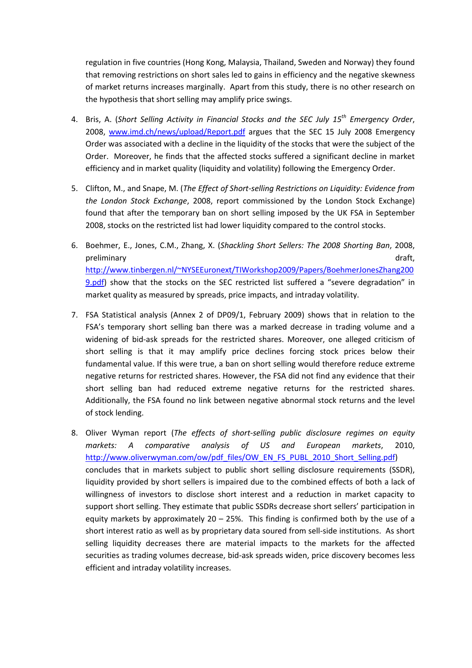regulation in five countries (Hong Kong, Malaysia, Thailand, Sweden and Norway) they found that removing restrictions on short sales led to gains in efficiency and the negative skewness of market returns increases marginally. Apart from this study, there is no other research on the hypothesis that short selling may amplify price swings.

- 4. Bris, A. (*Short Selling Activity in Financial Stocks and the SEC July 15th Emergency Order*, 2008, [www.imd.ch/news/upload/Report.pdf](http://www.imd.ch/news/upload/Report.pdf) argues that the SEC 15 July 2008 Emergency Order was associated with a decline in the liquidity of the stocks that were the subject of the Order. Moreover, he finds that the affected stocks suffered a significant decline in market efficiency and in market quality (liquidity and volatility) following the Emergency Order.
- 5. Clifton, M., and Snape, M. (*The Effect of Short-selling Restrictions on Liquidity: Evidence from the London Stock Exchange*, 2008, report commissioned by the London Stock Exchange) found that after the temporary ban on short selling imposed by the UK FSA in September 2008, stocks on the restricted list had lower liquidity compared to the control stocks.
- 6. Boehmer, E., Jones, C.M., Zhang, X. (*Shackling Short Sellers: The 2008 Shorting Ban*, 2008, preliminary draft, [http://www.tinbergen.nl/~NYSEEuronext/TIWorkshop2009/Papers/BoehmerJonesZhang200](http://www.tinbergen.nl/~NYSEEuronext/TIWorkshop2009/Papers/BoehmerJonesZhang2009.pdf) [9.pdf\)](http://www.tinbergen.nl/~NYSEEuronext/TIWorkshop2009/Papers/BoehmerJonesZhang2009.pdf) show that the stocks on the SEC restricted list suffered a "severe degradation" in market quality as measured by spreads, price impacts, and intraday volatility.
- 7. FSA Statistical analysis (Annex 2 of DP09/1, February 2009) shows that in relation to the FSA's temporary short selling ban there was a marked decrease in trading volume and a widening of bid-ask spreads for the restricted shares. Moreover, one alleged criticism of short selling is that it may amplify price declines forcing stock prices below their fundamental value. If this were true, a ban on short selling would therefore reduce extreme negative returns for restricted shares. However, the FSA did not find any evidence that their short selling ban had reduced extreme negative returns for the restricted shares. Additionally, the FSA found no link between negative abnormal stock returns and the level of stock lending.
- 8. Oliver Wyman report (*The effects of short-selling public disclosure regimes on equity markets: A comparative analysis of US and European markets*, 2010, [http://www.oliverwyman.com/ow/pdf\\_files/OW\\_EN\\_FS\\_PUBL\\_2010\\_Short\\_Selling.pdf\)](http://www.oliverwyman.com/ow/pdf_files/OW_EN_FS_PUBL_2010_Short_Selling.pdf) concludes that in markets subject to public short selling disclosure requirements (SSDR), liquidity provided by short sellers is impaired due to the combined effects of both a lack of willingness of investors to disclose short interest and a reduction in market capacity to support short selling. They estimate that public SSDRs decrease short sellers' participation in equity markets by approximately  $20 - 25%$ . This finding is confirmed both by the use of a short interest ratio as well as by proprietary data soured from sell-side institutions. As short selling liquidity decreases there are material impacts to the markets for the affected securities as trading volumes decrease, bid-ask spreads widen, price discovery becomes less efficient and intraday volatility increases.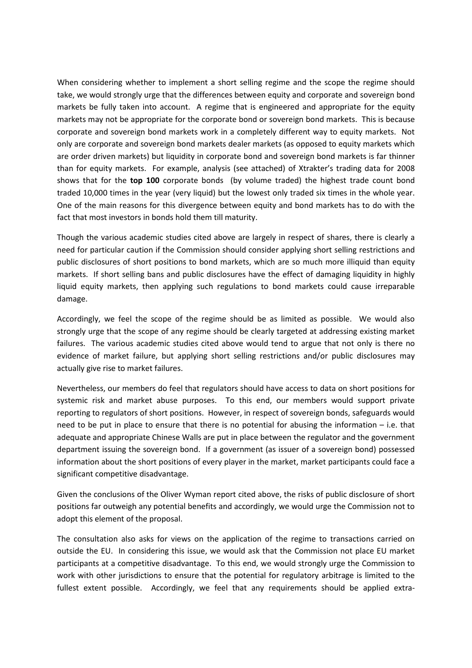When considering whether to implement a short selling regime and the scope the regime should take, we would strongly urge that the differences between equity and corporate and sovereign bond markets be fully taken into account. A regime that is engineered and appropriate for the equity markets may not be appropriate for the corporate bond or sovereign bond markets. This is because corporate and sovereign bond markets work in a completely different way to equity markets. Not only are corporate and sovereign bond markets dealer markets (as opposed to equity markets which are order driven markets) but liquidity in corporate bond and sovereign bond markets is far thinner than for equity markets. For example, analysis (see attached) of Xtrakter's trading data for 2008 shows that for the **top 100** corporate bonds (by volume traded) the highest trade count bond traded 10,000 times in the year (very liquid) but the lowest only traded six times in the whole year. One of the main reasons for this divergence between equity and bond markets has to do with the fact that most investors in bonds hold them till maturity.

Though the various academic studies cited above are largely in respect of shares, there is clearly a need for particular caution if the Commission should consider applying short selling restrictions and public disclosures of short positions to bond markets, which are so much more illiquid than equity markets. If short selling bans and public disclosures have the effect of damaging liquidity in highly liquid equity markets, then applying such regulations to bond markets could cause irreparable damage.

Accordingly, we feel the scope of the regime should be as limited as possible. We would also strongly urge that the scope of any regime should be clearly targeted at addressing existing market failures. The various academic studies cited above would tend to argue that not only is there no evidence of market failure, but applying short selling restrictions and/or public disclosures may actually give rise to market failures.

Nevertheless, our members do feel that regulators should have access to data on short positions for systemic risk and market abuse purposes. To this end, our members would support private reporting to regulators of short positions. However, in respect of sovereign bonds, safeguards would need to be put in place to ensure that there is no potential for abusing the information – i.e. that adequate and appropriate Chinese Walls are put in place between the regulator and the government department issuing the sovereign bond. If a government (as issuer of a sovereign bond) possessed information about the short positions of every player in the market, market participants could face a significant competitive disadvantage.

Given the conclusions of the Oliver Wyman report cited above, the risks of public disclosure of short positions far outweigh any potential benefits and accordingly, we would urge the Commission not to adopt this element of the proposal.

The consultation also asks for views on the application of the regime to transactions carried on outside the EU. In considering this issue, we would ask that the Commission not place EU market participants at a competitive disadvantage. To this end, we would strongly urge the Commission to work with other jurisdictions to ensure that the potential for regulatory arbitrage is limited to the fullest extent possible. Accordingly, we feel that any requirements should be applied extra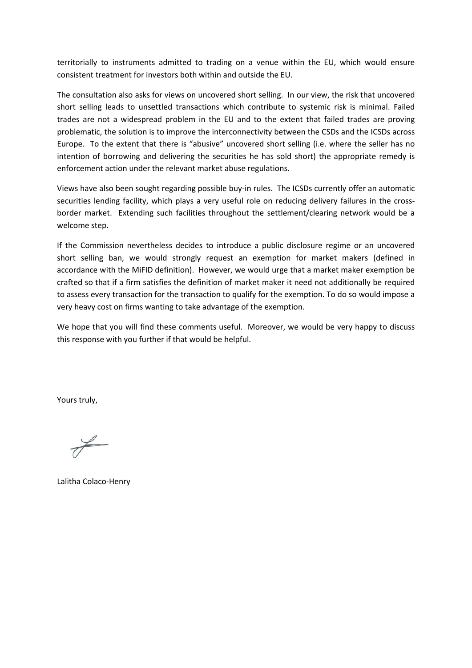territorially to instruments admitted to trading on a venue within the EU, which would ensure consistent treatment for investors both within and outside the EU.

The consultation also asks for views on uncovered short selling. In our view, the risk that uncovered short selling leads to unsettled transactions which contribute to systemic risk is minimal. Failed trades are not a widespread problem in the EU and to the extent that failed trades are proving problematic, the solution is to improve the interconnectivity between the CSDs and the ICSDs across Europe. To the extent that there is "abusive" uncovered short selling (i.e. where the seller has no intention of borrowing and delivering the securities he has sold short) the appropriate remedy is enforcement action under the relevant market abuse regulations.

Views have also been sought regarding possible buy-in rules. The ICSDs currently offer an automatic securities lending facility, which plays a very useful role on reducing delivery failures in the crossborder market. Extending such facilities throughout the settlement/clearing network would be a welcome step.

If the Commission nevertheless decides to introduce a public disclosure regime or an uncovered short selling ban, we would strongly request an exemption for market makers (defined in accordance with the MiFID definition). However, we would urge that a market maker exemption be crafted so that if a firm satisfies the definition of market maker it need not additionally be required to assess every transaction for the transaction to qualify for the exemption. To do so would impose a very heavy cost on firms wanting to take advantage of the exemption.

We hope that you will find these comments useful. Moreover, we would be very happy to discuss this response with you further if that would be helpful.

Yours truly,

Lalitha Colaco-Henry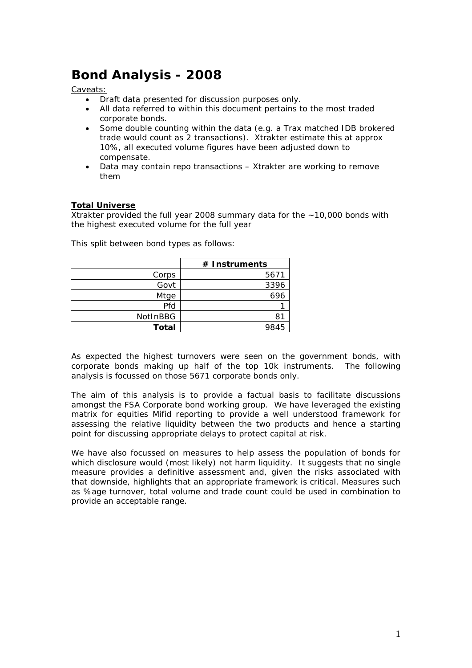# **Bond Analysis - 2008**

Caveats:

- Draft data presented for discussion purposes only.
- All data referred to within this document pertains to the most traded corporate bonds.
- Some double counting within the data (e.g. a Trax matched IDB brokered trade would count as 2 transactions). Xtrakter estimate this at approx 10%, all executed volume figures have been adjusted down to compensate.
- Data may contain repo transactions Xtrakter are working to remove them

## **Total Universe**

Xtrakter provided the full year 2008 summary data for the ~10,000 bonds with the highest executed volume for the full year

|              | $#$ Instruments |
|--------------|-----------------|
| Corps        | 5671            |
| Govt         | 3396            |
| Mtge         | 696             |
| Pfd          |                 |
| NotInBBG     | 8.              |
| <b>Total</b> |                 |

This split between bond types as follows:

As expected the highest turnovers were seen on the government bonds, with corporate bonds making up half of the top 10k instruments. The following analysis is focussed on those 5671 corporate bonds only.

The aim of this analysis is to provide a factual basis to facilitate discussions amongst the FSA Corporate bond working group. We have leveraged the existing matrix for equities Mifid reporting to provide a well understood framework for assessing the relative liquidity between the two products and hence a starting point for discussing appropriate delays to protect capital at risk.

We have also focussed on measures to help assess the population of bonds for which disclosure would (most likely) not harm liquidity. It suggests that no single measure provides a definitive assessment and, given the risks associated with that downside, highlights that an appropriate framework is critical. Measures such as %age turnover, total volume and trade count could be used in combination to provide an acceptable range.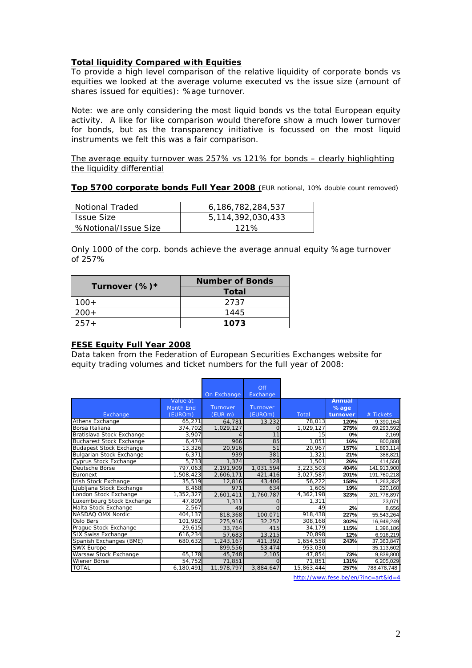## **Total liquidity Compared with Equities**

To provide a high level comparison of the relative liquidity of corporate bonds vs equities we looked at the average volume executed vs the issue size (amount of shares issued for equities): %age turnover.

Note: we are only considering the most liquid bonds vs the total European equity activity. A like for like comparison would therefore show a much lower turnover for bonds, but as the transparency initiative is focussed on the most liquid instruments we felt this was a fair comparison.

The average equity turnover was 257% vs 121% for bonds – clearly highlighting the liquidity differential

**Top 5700 corporate bonds Full Year 2008 (**EUR notional, 10% double count removed)

| Notional Traded      | 6.186.782.284.537 |
|----------------------|-------------------|
| l Issue Size         | 5,114,392,030,433 |
| %Notional/Issue Size | 121%              |

Only 1000 of the corp. bonds achieve the average annual equity %age turnover of 257%

|               | <b>Number of Bonds</b> |  |  |  |
|---------------|------------------------|--|--|--|
| Turnover (%)* | <b>Total</b>           |  |  |  |
| $100+$        | 2737                   |  |  |  |
| $200+$        | 1445                   |  |  |  |
| $257+$        | 1073                   |  |  |  |

## **FESE Equity Full Year 2008**

Data taken from the Federation of European Securities Exchanges website for equity trading volumes and ticket numbers for the full year of 2008:

|                                 |                  |             | Off       |            |          |             |
|---------------------------------|------------------|-------------|-----------|------------|----------|-------------|
|                                 |                  | On Exchange | Exchange  |            |          |             |
|                                 | Value at         |             |           |            | Annual   |             |
|                                 | <b>Month End</b> | Turnover    | Turnover  |            | $%$ age  |             |
| Exchange                        | (EUROm)          | (EURm)      | (EUROm)   | Total      | turnover | $#$ Tickets |
| Athens Exchange                 | 65,271           | 64,781      | 13,232    | 78,013     | 120%     | 9,390,164   |
| Borsa Italiana                  | 374,702          | 1,029,127   | Ω         | 1,029,127  | 275%     | 69,293,592  |
| Bratislava Stock Exchange       | 3,907            |             | 11        | 15         | 0%       | 2.169       |
| <b>Bucharest Stock Exchange</b> | 6,474            | 966         | 85        | 1,051      | 16%      | 800,888     |
| <b>Budapest Stock Exchange</b>  | 13,326           | 20,916      | 51        | 20,967     | 157%     | 1,893,114   |
| <b>Bulgarian Stock Exchange</b> | 6,371            | 939         | 381       | 1.321      | 21%      | 388.821     |
| Cyprus Stock Exchange           | 5,733            | 1,374       | 128       | 1,501      | 26%      | 414,550     |
| Deutsche Börse                  | 797,063          | 2,191,909   | 1,031,594 | 3,223,503  | 404%     | 141,913,900 |
| Euronext                        | 1,508,423        | 2,606,171   | 421,416   | 3,027,587  | 201%     | 191,760,218 |
| Irish Stock Exchange            | 35,519           | 12,816      | 43,406    | 56.222     | 158%     | 1,263,352   |
| Ljubljana Stock Exchange        | 8.468            | 971         | 634       | 1.605      | 19%      | 220,160     |
| London Stock Exchange           | 1,352,327        | 2,601,411   | 1,760,787 | 4,362,198  | 323%     | 201,778,897 |
| Luxembourg Stock Exchange       | 47,809           | 1,311       | Ω         | 1.311      |          | 23,071      |
| Malta Stock Exchange            | 2,567            | 49          | $\Omega$  | 49         | 2%       | 8.656       |
| NASDAQ OMX Nordic               | 404,137          | 818,368     | 100.071   | 918,438    | 227%     | 55,543,264  |
| Oslo Børs                       | 101,982          | 275,916     | 32.252    | 308,168    | 302%     | 16,949,249  |
| Prague Stock Exchange           | 29,615           | 33,764      | 415       | 34,179     | 115%     | 1,396,186   |
| <b>SIX Swiss Exchange</b>       | 616,234          | 57,683      | 13,215    | 70,898     | 12%      | 6,916,219   |
| Spanish Exchanges (BME)         | 680,632          | 1,243,167   | 411,392   | 1,654,558  | 243%     | 37,363,847  |
| <b>SWX Europe</b>               |                  | 899,556     | 53.474    | 953.030    |          | 35,113,602  |
| Warsaw Stock Exchange           | 65,178           | 45,748      | 2,105     | 47,854     | 73%      | 9,839,800   |
| Wiener Börse                    | 54,752           | 71,851      | $\Omega$  | 71,851     | 131%     | 6,205,029   |
| <b>TOTAL</b>                    | 6,180,491        | 11,978,797  | 3,884,647 | 15,863,444 | 257%     | 788,478,748 |

<http://www.fese.be/en/?inc=art&id=4>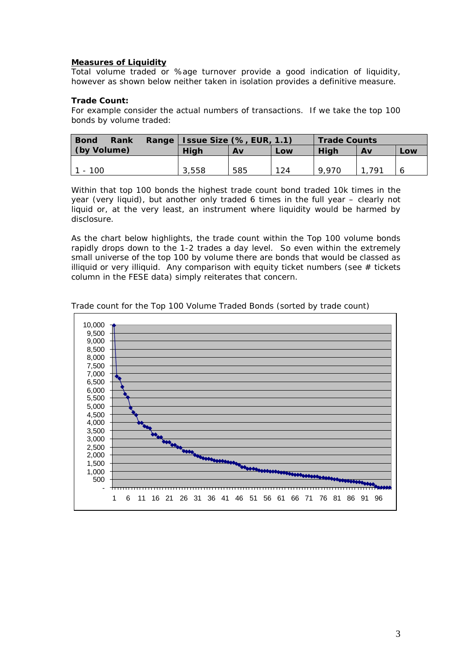#### **Measures of Liquidity**

Total volume traded or %age turnover provide a good indication of liquidity, however as shown below neither taken in isolation provides a definitive measure.

#### **Trade Count:**

For example consider the actual numbers of transactions. If we take the top 100 bonds by volume traded:

| <b>Bond</b><br>Rank | Range   Issue Size (%, EUR, 1.1) |     | <b>Trade Counts</b> |       |     |     |
|---------------------|----------------------------------|-----|---------------------|-------|-----|-----|
| (by Volume)         | <b>High</b>                      | Αv  | Low                 | Hiah  | Av  | Low |
|                     |                                  |     |                     |       |     |     |
| 1 - 100             | 3.558                            | 585 | 124                 | 9.970 | 791 |     |

Within that top 100 bonds the highest trade count bond traded 10k times in the year (very liquid), but another only traded 6 times in the full year – clearly not liquid or, at the very least, an instrument where liquidity would be harmed by disclosure.

As the chart below highlights, the trade count within the Top 100 volume bonds rapidly drops down to the 1-2 trades a day level. So even within the extremely small universe of the top 100 by volume there are bonds that would be classed as illiquid or very illiquid. Any comparison with equity ticket numbers (see  $#$  tickets column in the FESE data) simply reiterates that concern.



Trade count for the Top 100 Volume Traded Bonds (sorted by trade count)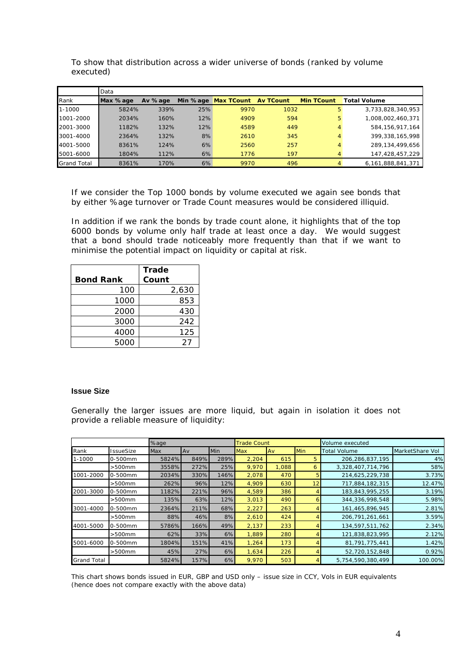|                    | Data     |         |          |                   |                  |                   |                     |
|--------------------|----------|---------|----------|-------------------|------------------|-------------------|---------------------|
| Rank               | Max %age | Av %age | Min %age | <b>Max TCount</b> | <b>Av TCount</b> | <b>Min TCount</b> | <b>Total Volume</b> |
| $1 - 1000$         | 5824%    | 339%    | 25%      | 9970              | 1032             | 5                 | 3,733,828,340,953   |
| 1001-2000          | 2034%    | 160%    | 12%      | 4909              | 594              | 5                 | 1,008,002,460,371   |
| 2001-3000          | 1182%    | 132%    | 12%      | 4589              | 449              | 4                 | 584, 156, 917, 164  |
| 3001-4000          | 2364%    | 132%    | 8%       | 2610              | 345              | 4                 | 399, 338, 165, 998  |
| 4001-5000          | 8361%    | 124%    | 6%       | 2560              | 257              | 4                 | 289, 134, 499, 656  |
| 5001-6000          | 1804%    | 112%    | 6%       | 1776              | 197              | 4                 | 147,428,457,229     |
| <b>Grand Total</b> | 8361%    | 170%    | 6%       | 9970              | 496              | 4                 | 6,161,888,841,371   |

To show that distribution across a wider universe of bonds (ranked by volume executed)

If we consider the Top 1000 bonds by volume executed we again see bonds that by either %age turnover or Trade Count measures would be considered illiquid.

In addition if we rank the bonds by trade count alone, it highlights that of the top 6000 bonds by volume only half trade at least once a day. We would suggest that a bond should trade noticeably more frequently than that if we want to minimise the potential impact on liquidity or capital at risk.

|                  | <b>Trade</b> |
|------------------|--------------|
| <b>Bond Rank</b> | Count        |
| 100              | 2,630        |
| 1000             | 853          |
| 2000             | 430          |
| 3000             | 242          |
| 4000             | 125          |
| 5000             | 27           |

#### **Issue Size**

Generally the larger issues are more liquid, but again in isolation it does not provide a reliable measure of liquidity:

|                    |                  | %age  |      |      | <b>Trade Count</b> |       | Volume executed |                     |                 |
|--------------------|------------------|-------|------|------|--------------------|-------|-----------------|---------------------|-----------------|
| Rank               | <b>IssueSize</b> | Max   | Av   | Min  | <b>Max</b>         | Av    | <b>Min</b>      | <b>Total Volume</b> | MarketShare Vol |
| 1-1000             | 0-500mm          | 5824% | 849% | 289% | 2,204              | 615   | 5.              | 206,286,837,195     | 4%              |
|                    | $>500$ mm        | 3558% | 272% | 25%  | 9.970              | 1.088 | 6               | 3,328,407,714,796   | 58%             |
| 1001-2000          | 0-500mm          | 2034% | 330% | 146% | 2,078              | 470   | 5               | 214,625,229,738     | 3.73%           |
|                    | $>500$ mm        | 262%  | 96%  | 12%  | 4,909              | 630   |                 | 717,884,182,315     | 12.47%          |
| 2001-3000          | 0-500mm          | 1182% | 221% | 96%  | 4,589              | 386   |                 | 183,843,995,255     | 3.19%           |
|                    | $>500$ mm        | 135%  | 63%  | 12%  | 3,013              | 490   |                 | 344, 336, 998, 548  | 5.98%           |
| 3001-4000          | 0-500mm          | 2364% | 211% | 68%  | 2,227              | 263   |                 | 161,465,896,945     | 2.81%           |
|                    | $>500$ mm        | 88%   | 46%  | 8%   | 2,610              | 424   |                 | 206, 791, 261, 661  | 3.59%           |
| 4001-5000          | 0-500mm          | 5786% | 166% | 49%  | 2,137              | 233   |                 | 134,597,511,762     | 2.34%           |
|                    | $>500$ mm        | 62%   | 33%  | 6%   | 1,889              | 280   |                 | 121,838,823,995     | 2.12%           |
| 5001-6000          | 0-500mm          | 1804% | 151% | 41%  | 1,264              | 173   |                 | 81,791,775,441      | 1.42%           |
|                    | $>500$ mm        | 45%   | 27%  | 6%   | 1,634              | 226   |                 | 52,720,152,848      | 0.92%           |
| <b>Grand Total</b> |                  | 5824% | 157% | 6%   | 9,970              | 503   |                 | 5,754,590,380,499   | 100.00%         |

This chart shows bonds issued in EUR, GBP and USD only – issue size in CCY, Vols in EUR equivalents (hence does not compare exactly with the above data)